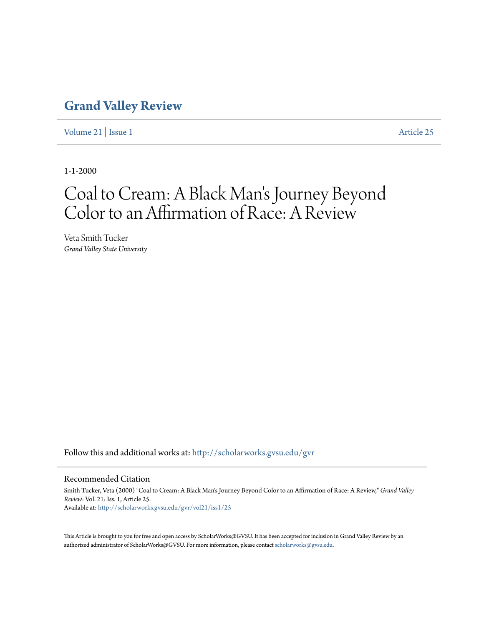## **[Grand Valley Review](http://scholarworks.gvsu.edu/gvr?utm_source=scholarworks.gvsu.edu%2Fgvr%2Fvol21%2Fiss1%2F25&utm_medium=PDF&utm_campaign=PDFCoverPages)**

[Volume 21](http://scholarworks.gvsu.edu/gvr/vol21?utm_source=scholarworks.gvsu.edu%2Fgvr%2Fvol21%2Fiss1%2F25&utm_medium=PDF&utm_campaign=PDFCoverPages) | [Issue 1](http://scholarworks.gvsu.edu/gvr/vol21/iss1?utm_source=scholarworks.gvsu.edu%2Fgvr%2Fvol21%2Fiss1%2F25&utm_medium=PDF&utm_campaign=PDFCoverPages) [Article 25](http://scholarworks.gvsu.edu/gvr/vol21/iss1/25?utm_source=scholarworks.gvsu.edu%2Fgvr%2Fvol21%2Fiss1%2F25&utm_medium=PDF&utm_campaign=PDFCoverPages)

1-1-2000

## Coal to Cream: A Black Man 's Journey Beyond Color to an Affirmation of Race: A Review

Veta Smith Tucker *Grand Valley State University*

Follow this and additional works at: [http://scholarworks.gvsu.edu/gvr](http://scholarworks.gvsu.edu/gvr?utm_source=scholarworks.gvsu.edu%2Fgvr%2Fvol21%2Fiss1%2F25&utm_medium=PDF&utm_campaign=PDFCoverPages)

## Recommended Citation

Smith Tucker, Veta (2000) "Coal to Cream: A Black Man's Journey Beyond Color to an Affirmation of Race: A Review," *Grand Valley Review*: Vol. 21: Iss. 1, Article 25. Available at: [http://scholarworks.gvsu.edu/gvr/vol21/iss1/25](http://scholarworks.gvsu.edu/gvr/vol21/iss1/25?utm_source=scholarworks.gvsu.edu%2Fgvr%2Fvol21%2Fiss1%2F25&utm_medium=PDF&utm_campaign=PDFCoverPages)

This Article is brought to you for free and open access by ScholarWorks@GVSU. It has been accepted for inclusion in Grand Valley Review by an authorized administrator of ScholarWorks@GVSU. For more information, please contact [scholarworks@gvsu.edu.](mailto:scholarworks@gvsu.edu)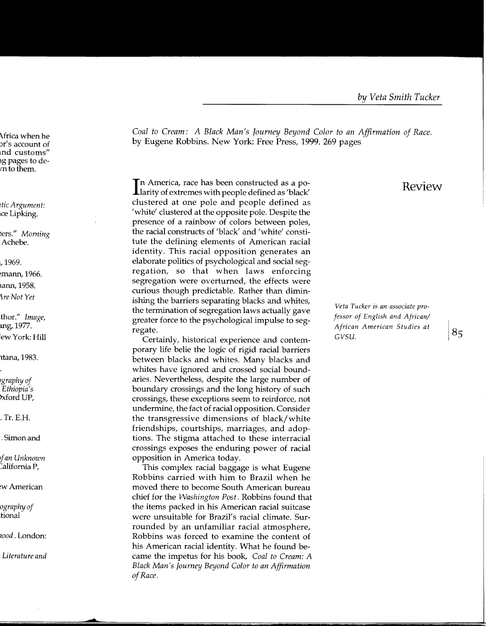*Coal to Cream: A Black Man's Journey Beyond Color to an Affirmation of Race.*  by Eugene Robbins. New York: Free Press, 1999. 269 pages

In America, race has been constructed as a po-<br>Larity of extremes with people defined as 'black' n America, race has been constructed as a poclustered at one pole and people defined as 'white' clustered at the opposite pole. Despite the presence of a rainbow of colors between poles, the racial constructs of 'black' and 'white' constitute the defining elements of American racial identity. This racial opposition generates an elaborate politics of psychological and social segregation, so that when laws enforcing segregation were overturned, the effects were curious though predictable. Rather than diminishing the barriers separating blacks and whites, the termination of segregation laws actually gave greater force to the psychological impulse to segregate.

Certainly, historical experience and contemporary life belie the logic of rigid racial barriers between blacks and whites. Many blacks and whites have ignored and crossed social boundaries. Nevertheless, despite the large number of boundary crossings and the long history of such crossings, these exceptions seem to reinforce, not undermine, the fact of racial opposition. Consider the transgressive dimensions of black/white friendships, courtships, marriages, and adoptions. The stigma attached to these interracial crossings exposes the enduring power of racial opposition in America today.

This complex racial baggage is what Eugene Robbins carried with him to Brazil when he moved there to become South American bureau chief for the *Washington Post.* Robbins found that the items packed in his American racial suitcase were unsuitable for Brazil's racial climate. Surrounded by an unfamiliar racial atmosphere, Robbins was forced to examine the content of his American racial identity. What he found became the impetus for his book, *Coal to Cream: A Black Man's Journey Beyond Color to an Affirmation of Race.* 

## Review

*Veta Tucker* is *an associate professor of English and African/ African American Studies at*  $|85|$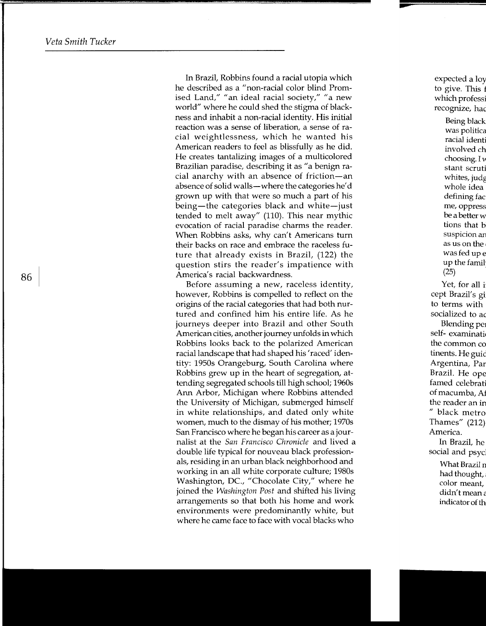In Brazil, Robbins found a racial utopia which he described as a "non-racial color blind Promised Land," "an ideal racial society," "a new world" where he could shed the stigma of blackness and inhabit a non-racial identity. His initial reaction was a sense of liberation, a sense of racial weightlessness, which he wanted his American readers to feel as blissfully as he did. He creates tantalizing images of a multicolored Brazilian paradise, describing it as "a benign racial anarchy with an absence of friction-an absence of solid walls-where the categories he'd grown up with that were so much a part of his being-the categories black and white-just tended to melt away" (110). This near mythic evocation of racial paradise charms the reader. When Robbins asks, why can't Americans turn their backs on race and embrace the raceless future that already exists in Brazil, (122) the question stirs the reader's impatience with America's racial backwardness.

Before assuming a new, raceless identity, however, Robbins is compelled to reflect on the origins of the racial categories that had both nurtured and confined him his entire life. As he journeys deeper into Brazil and other South American cities, another journey unfolds in which Robbins looks back to the polarized American racial landscape that had shaped his 'raced' identity: 1950s Orangeburg, South Carolina where Robbins grew up in the heart of segregation, attending segregated schools till high school; 1960s Ann Arbor, Michigan where Robbins attended the University of Michigan, submerged himself in white relationships, and dated only white women, much to the dismay of his mother; 1970s San Francisco where he began his career as a journalist at the *San Francisco Chronicle* and lived a double life typical for nouveau black professionals, residing in an urban black neighborhood and working in an all white corporate culture; 1980s Washington, DC., "Chocolate City," where he joined the *Washington Post* and shifted his living arrangements so that both his home and work environments were predominantly white, but where he came face to face with vocal blacks who

86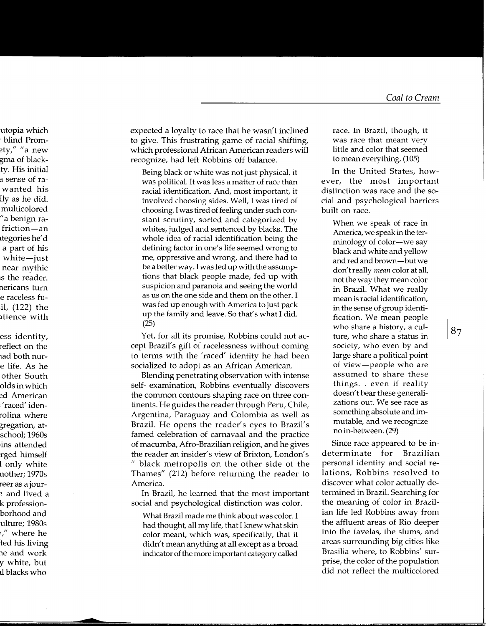expected a loyalty to race that he wasn't inclined to give. This frustrating game of racial shifting, which professional African American readers will recognize, had left Robbins off balance.

Being black or white was not just physical, it was political. It was less a matter of race than racial identification. And, most important, it involved choosing sides. Well, I was tired of choosing. I was tired of feeling under such constant scrutiny, sorted and categorized by whites, judged and sentenced by blacks. The whole idea of racial identification being the defining factor in one's life seemed wrong to me, oppressive and wrong, and there had to be a better way. I was fed up with the assumptions that black people made, fed up with suspicion and paranoia and seeing the world as us on the one side and them on the other. I was fed up enough with America to just pack up the family and leave. So that's what I did.  $(25)$ 

Yet, for all its promise, Robbins could not accept Brazil's gift of racelessness without coming to terms with the 'raced' identity he had been socialized to adopt as an African American.

Blending penetrating observation with intense self- examination, Robbins eventually discovers the common contours shaping race on three continents. He guides the reader through Peru, Chile, Argentina, Paraguay and Colombia as well as Brazil. He opens the reader's eyes to Brazil's famed celebration of carnavaal and the practice of macumba, Afro-Brazilian religion, and he gives the reader an insider's view of Brixton, London's " black metropolis on the other side of the Thames" (212) before returning the reader to America.

In Brazil, he learned that the most important social and psychological distinction was color.

What Brazil made me think about was color. I had thought, all my life, that I knew what skin color meant, which was, specifically, that it didn't mean anything at all except as a broad indicator of the more important category called race. In Brazil, though, it was race that meant very little and color that seemed to mean everything. (105)

In the United States, however, the most important distinction was race and the social and psychological barriers built on race.

When we speak of race in America, we speak in the terminology of color-we say black and white and yellow and red and brown--but we don't really mean color at all, not the way they mean color in Brazil. What we really mean is racial identification, in the sense of group identification. We mean people who share a history, a culture, who share a status in society, who even by and large share a political point of view-people who are assumed to share these things. . even if reality doesn't bear these generalizations out. We see race as something absolute and immutable, and we recognize no in-between. (29)

Since race appeared to be indeterminate for **Brazilian** personal identity and social relations, Robbins resolved to discover what color actually determined in Brazil. Searching for the meaning of color in Brazilian life led Robbins away from the affluent areas of Rio deeper into the favelas, the slums, and areas surrounding big cities like Brasilia where, to Robbins' surprise, the color of the population did not reflect the multicolored